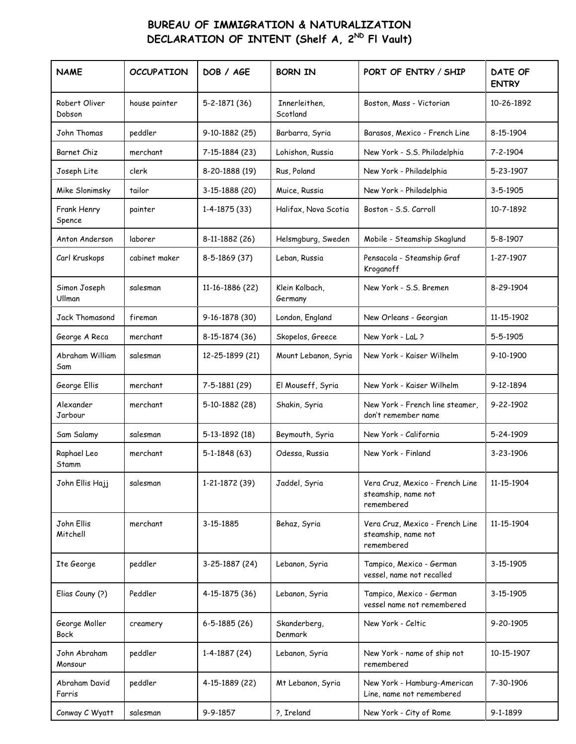## **BUREAU OF IMMIGRATION & NATURALIZATION DECLARATION OF INTENT (Shelf A, 2<sup>ND</sup> FI Vault)**

| <b>NAME</b>             | <b>OCCUPATION</b> | DOB / AGE          | <b>BORN IN</b>            | PORT OF ENTRY / SHIP                                                 | DATE OF<br><b>ENTRY</b> |
|-------------------------|-------------------|--------------------|---------------------------|----------------------------------------------------------------------|-------------------------|
| Robert Oliver<br>Dobson | house painter     | 5-2-1871 (36)      | Innerleithen,<br>Scotland | Boston, Mass - Victorian                                             | 10-26-1892              |
| John Thomas             | peddler           | 9-10-1882 (25)     | Barbarra, Syria           | Barasos, Mexico - French Line                                        | 8-15-1904               |
| Barnet Chiz             | merchant          | 7-15-1884 (23)     | Lohishon, Russia          | New York - S.S. Philadelphia                                         | $7 - 2 - 1904$          |
| Joseph Lite             | clerk             | 8-20-1888 (19)     | Rus, Poland               | New York - Philadelphia                                              | 5-23-1907               |
| Mike Slonimsky          | tailor            | 3-15-1888 (20)     | Muice, Russia             | New York - Philadelphia                                              | 3-5-1905                |
| Frank Henry<br>Spence   | painter           | 1-4-1875 (33)      | Halifax, Nova Scotia      | Boston - S.S. Carroll                                                | 10-7-1892               |
| Anton Anderson          | laborer           | 8-11-1882 (26)     | Helsmgburg, Sweden        | Mobile - Steamship Skaglund                                          | 5-8-1907                |
| Carl Kruskops           | cabinet maker     | 8-5-1869 (37)      | Leban, Russia             | Pensacola - Steamship Graf<br>Kroganoff                              | 1-27-1907               |
| Simon Joseph<br>Ullman  | salesman          | 11-16-1886 (22)    | Klein Kolbach.<br>Germany | New York - S.S. Bremen                                               | 8-29-1904               |
| Jack Thomasond          | fireman           | 9-16-1878 (30)     | London, England           | New Orleans - Georgian                                               | 11-15-1902              |
| George A Reca           | merchant          | 8-15-1874 (36)     | Skopelos, Greece          | New York - LaL?                                                      | 5-5-1905                |
| Abraham William<br>Sam  | salesman          | 12-25-1899 (21)    | Mount Lebanon, Syria      | New York - Kaiser Wilhelm                                            | 9-10-1900               |
| George Ellis            | merchant          | 7-5-1881 (29)      | El Mouseff, Syria         | New York - Kaiser Wilhelm                                            | 9-12-1894               |
| Alexander<br>Jarbour    | merchant          | 5-10-1882 (28)     | Shakin, Syria             | New York - French line steamer,<br>don't remember name               | 9-22-1902               |
| Sam Salamy              | salesman          | 5-13-1892 (18)     | Beymouth, Syria           | New York - California                                                | 5-24-1909               |
| Raphael Leo<br>Stamm    | merchant          | $5-1-1848(63)$     | Odessa, Russia            | New York - Finland                                                   | 3-23-1906               |
| John Ellis Hajj         | salesman          | 1-21-1872 (39)     | Jaddel, Syria             | Vera Cruz, Mexico - French Line<br>steamship, name not<br>remembered | 11-15-1904              |
| John Ellis<br>Mitchell  | merchant          | 3-15-1885          | Behaz, Syria              | Vera Cruz, Mexico - French Line<br>steamship, name not<br>remembered | 11-15-1904              |
| Ite George              | peddler           | 3-25-1887 (24)     | Lebanon, Syria            | Tampico, Mexico - German<br>vessel, name not recalled                | 3-15-1905               |
| Elias Couny (?)         | Peddler           | 4-15-1875 (36)     | Lebanon, Syria            | Tampico, Mexico - German<br>vessel name not remembered               | 3-15-1905               |
| George Moller<br>Bock   | creamery          | $6 - 5 - 1885(26)$ | Skanderberg,<br>Denmark   | New York - Celtic                                                    | 9-20-1905               |
| John Abraham<br>Monsour | peddler           | 1-4-1887 (24)      | Lebanon, Syria            | New York - name of ship not<br>remembered                            | 10-15-1907              |
| Abraham David<br>Farris | peddler           | 4-15-1889 (22)     | Mt Lebanon, Syria         | New York - Hamburg-American<br>Line, name not remembered             | 7-30-1906               |
| Conway C Wyatt          | salesman          | 9-9-1857           | ?, Ireland                | New York - City of Rome                                              | 9-1-1899                |